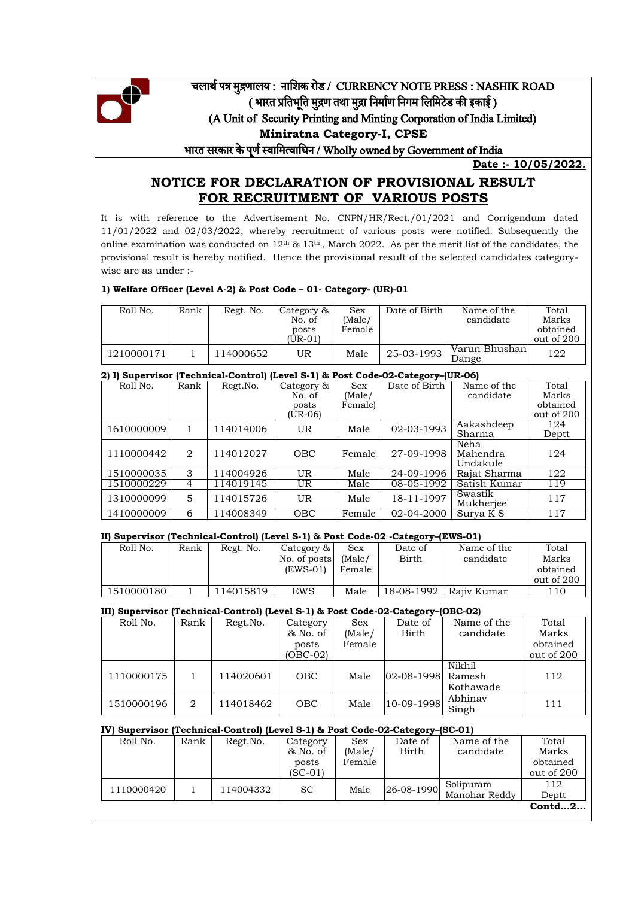

# चलार्थ पत्र मुद्रणालय : नाशिक रोड / CURRENCY NOTE PRESS : NASHIK ROAD ( भारत प्रतिभूति मुद्रण तथा मुद्रा निर्माण निगम लिमिटेड की इकाई ) (A Unit of Security Printing and Minting Corporation of India Limited) **Miniratna Category-I, CPSE** भारत सरकार के पणू थस्वाशमत्वाशिन / Wholly owned by Government of India

**Date :- 10/05/2022.**

Total

# **NOTICE FOR DECLARATION OF PROVISIONAL RESULT FOR RECRUITMENT OF VARIOUS POSTS**

It is with reference to the Advertisement No. CNPN/HR/Rect./01/2021 and Corrigendum dated 11/01/2022 and 02/03/2022, whereby recruitment of various posts were notified. Subsequently the online examination was conducted on  $12<sup>th</sup>$  &  $13<sup>th</sup>$ , March 2022. As per the merit list of the candidates, the provisional result is hereby notified. Hence the provisional result of the selected candidates categorywise are as under :-

#### **1) Welfare Officer (Level A-2) & Post Code – 01- Category- (UR)-01**

| Roll No.   | Rank | Regt. No. | Category $\&$<br>No. of<br>posts<br>$(UR-01)$ | ${\rm Sex}$<br>(Male/<br>Female | Date of Birth . | Name of the<br>candidate | Total<br>Marks<br>obtained<br>out of 200 |
|------------|------|-----------|-----------------------------------------------|---------------------------------|-----------------|--------------------------|------------------------------------------|
| 1210000171 |      | 114000652 | υR                                            | Male                            | 25-03-1993      | Varun Bhushan<br>Dange   | 122                                      |

## **2) I) Supervisor (Technical-Control) (Level S-1) & Post Code-02-Category–(UR-06)** Roll No. | Rank | Regt.No. | Category & | Sex | Date of Birth | Name of the

|            |   |           | $\frac{1}{2}$<br>No. of<br>posts<br>(UR-06) | ----<br>(Male/<br>Female) |            | candidate                    | Marks<br>obtained<br>out of 200 |
|------------|---|-----------|---------------------------------------------|---------------------------|------------|------------------------------|---------------------------------|
| 1610000009 |   | 114014006 | <b>UR</b>                                   | Male                      | 02-03-1993 | Aakashdeep<br>Sharma         | 124<br>Deptt                    |
| 1110000442 | 2 | 114012027 | <b>OBC</b>                                  | Female                    | 27-09-1998 | Neha<br>Mahendra<br>Undakule | 124                             |
| 1510000035 | 3 | 114004926 | <b>UR</b>                                   | Male                      | 24-09-1996 | Rajat Sharma                 | 122                             |
| 1510000229 | 4 | 114019145 | UR.                                         | Male                      | 08-05-1992 | Satish Kumar                 | 119                             |
| 1310000099 | 5 | 114015726 | UR.                                         | Male                      | 18-11-1997 | Swastik<br>Mukherjee         | 117                             |
| 1410000009 | 6 | 114008349 | <b>OBC</b>                                  | Female                    | 02-04-2000 | Surva K S                    | 117                             |

#### **II) Supervisor (Technical-Control) (Level S-1) & Post Code-02 -Category–(EWS-01)**

| Roll No.   | Rank | Regt. No. | Category &   | Sex    | Date of    | Name of the | Total      |
|------------|------|-----------|--------------|--------|------------|-------------|------------|
|            |      |           | No. of posts | (Male/ | Birth      | candidate   | Marks      |
|            |      |           | $(EWS-01)$   | Female |            |             | obtained   |
|            |      |           |              |        |            |             | out of 200 |
| 1510000180 |      | 14015819  | EWS          | Male   | 18-08-1992 | Rajiy Kumar | 110        |
|            |      |           |              |        |            |             |            |

#### **III) Supervisor (Technical-Control) (Level S-1) & Post Code-02-Category–(OBC-02)**

|            |      | . .       |            |            |                   |             |            |
|------------|------|-----------|------------|------------|-------------------|-------------|------------|
| Roll No.   | Rank | Regt.No.  | Category   | <b>Sex</b> | Date of           | Name of the | Total      |
|            |      |           | & No. of   | (Male/     | Birth             | candidate   | Marks      |
|            |      |           | posts      | Female     |                   |             | obtained   |
|            |      |           | $(OBC-02)$ |            |                   |             | out of 200 |
|            |      |           |            |            |                   | Nikhil      |            |
| 1110000175 |      | 114020601 | <b>OBC</b> | Male       | 02-08-1998 Ramesh |             | 112        |
|            |      |           |            |            |                   | Kothawade   |            |
| 1510000196 | 2    | 114018462 | <b>OBC</b> | Male       | 10-09-1998        | Abhinav     | 111        |
|            |      |           |            |            |                   | Singh       |            |

#### **IV) Supervisor (Technical-Control) (Level S-1) & Post Code-02-Category–(SC-01)**  Roll No. | Rank | Regt.No. | Category & No. of posts  $(SC-01)$ Sex (Male/ Female Date of Birth Name of the candidate Total Marks obtained out of 200  $1110000420$  1 114004332 SC Male 26-08-1990 Solipuram Manohar Reddy 112 Deptt **Contd…2…**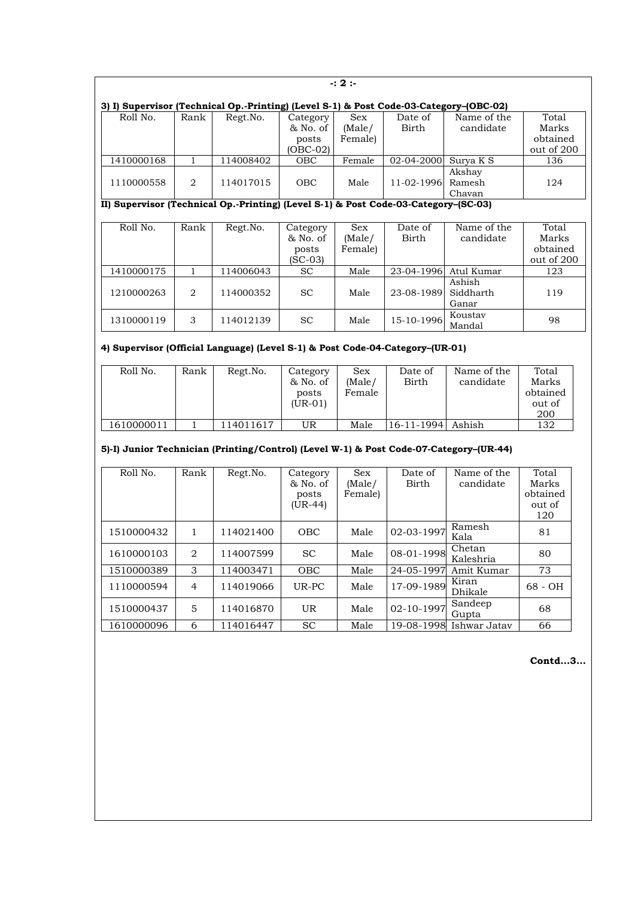|                                                                                        | $-: 2:$      |           |                                           |                                 |                  |                              |                                          |  |  |  |  |
|----------------------------------------------------------------------------------------|--------------|-----------|-------------------------------------------|---------------------------------|------------------|------------------------------|------------------------------------------|--|--|--|--|
| 3) I) Supervisor (Technical Op.-Printing) (Level S-1) & Post Code-03-Category-(OBC-02) |              |           |                                           |                                 |                  |                              |                                          |  |  |  |  |
| Roll No.                                                                               | Rank         | Regt.No.  | Category<br>& No. of<br>posts<br>(OBC-02) | <b>Sex</b><br>(Male/<br>Female) | Date of<br>Birth | Name of the<br>candidate     | Total<br>Marks<br>obtained<br>out of 200 |  |  |  |  |
| 1410000168                                                                             | 1            | 114008402 | OBC                                       | Female                          | 02-04-2000       | Surya K S                    | 136                                      |  |  |  |  |
| 1110000558                                                                             | 2            | 114017015 | OBC                                       | Male                            | 11-02-1996       | Akshay<br>Ramesh<br>Chavan   | 124                                      |  |  |  |  |
| II) Supervisor (Technical Op.-Printing) (Level S-1) & Post Code-03-Category-(SC-03)    |              |           |                                           |                                 |                  |                              |                                          |  |  |  |  |
| Roll No.                                                                               | Rank         | Regt.No.  | Category<br>& No. of<br>posts<br>(SC-03)  | Sex<br>(Male/<br>Female)        | Date of<br>Birth | Name of the<br>candidate     | Total<br>Marks<br>obtained<br>out of 200 |  |  |  |  |
| 1410000175                                                                             | $\mathbf{1}$ | 114006043 | <b>SC</b>                                 | Male                            | 23-04-1996       | Atul Kumar                   | 123                                      |  |  |  |  |
| 1210000263                                                                             | 2            | 114000352 | <b>SC</b>                                 | Male                            | 23-08-1989       | Ashish<br>Siddharth<br>Ganar | 119                                      |  |  |  |  |
| 1310000119                                                                             | 3            | 114012139 | <b>SC</b>                                 | Male                            | 15-10-1996       | Koustav<br>Mandal            | 98                                       |  |  |  |  |

# **4) Supervisor (Official Language) (Level S-1) & Post Code-04-Category–(UR-01)**

| Roll No.   | Rank | Regt.No.  | Category<br>& No. of<br>posts<br>$(UR-01)$ | Sex<br>(Male/<br>Female | Date of<br>Birth  | Name of the<br>candidate | Total<br>Marks<br>obtained<br>out of<br>200 |
|------------|------|-----------|--------------------------------------------|-------------------------|-------------------|--------------------------|---------------------------------------------|
| 1610000011 |      | 114011617 | UR                                         | Male                    | 16-11-1994 Ashish |                          | 132                                         |

### **5)-I) Junior Technician (Printing/Control) (Level W-1) & Post Code-07-Category–(UR-44)**

| Roll No.   | Rank           | Regt.No.  | Category<br>& No. of<br>posts<br>(UR-44) | <b>Sex</b><br>(Male/<br>Female) | Date of<br>Birth | Name of the<br>candidate | Total<br>Marks<br>obtained<br>out of<br>120 |
|------------|----------------|-----------|------------------------------------------|---------------------------------|------------------|--------------------------|---------------------------------------------|
|            |                |           |                                          |                                 |                  | Ramesh                   |                                             |
| 1510000432 |                | 114021400 | <b>OBC</b>                               | Male                            | 02-03-1997       | Kala                     | 81                                          |
| 1610000103 | $\overline{2}$ | 114007599 | <b>SC</b>                                | Male                            | 08-01-1998       | Chetan<br>Kaleshria      | 80                                          |
| 1510000389 | 3              | 114003471 | <b>OBC</b>                               | Male                            | 24-05-1997       | Amit Kumar               | 73                                          |
| 1110000594 | 4              | 114019066 | UR-PC                                    | Male                            | 17-09-1989       | Kiran<br><b>Dhikale</b>  | 68 - OH                                     |
| 1510000437 | 5              | 114016870 | UR.                                      | Male                            | 02-10-1997       | Sandeep<br>Gupta         | 68                                          |
| 1610000096 | 6              | 114016447 | <b>SC</b>                                | Male                            | 19-08-1998       | Ishwar Jatav             | 66                                          |

**Contd…3…**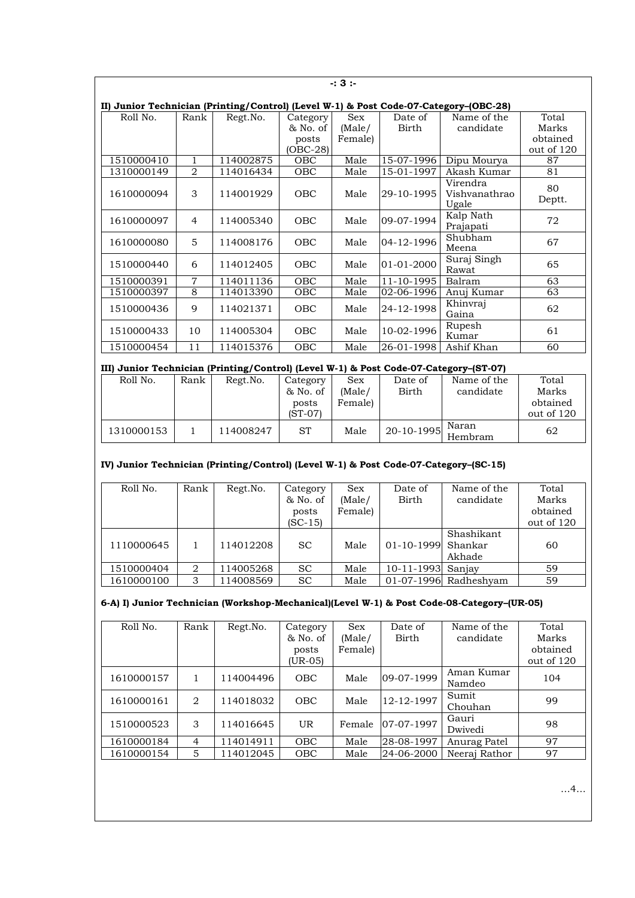| $-3:$      |                                                                                       |           |            |            |              |                                    |              |  |  |  |  |  |
|------------|---------------------------------------------------------------------------------------|-----------|------------|------------|--------------|------------------------------------|--------------|--|--|--|--|--|
|            | II) Junior Technician (Printing/Control) (Level W-1) & Post Code-07-Category-(OBC-28) |           |            |            |              |                                    |              |  |  |  |  |  |
| Roll No.   | Rank                                                                                  | Regt.No.  | Category   | <b>Sex</b> | Date of      | Name of the                        | Total        |  |  |  |  |  |
|            |                                                                                       |           | & No. of   | (Male/     | <b>Birth</b> | candidate                          | Marks        |  |  |  |  |  |
|            |                                                                                       |           | posts      | Female)    |              |                                    | obtained     |  |  |  |  |  |
|            |                                                                                       |           | $(OBC-28)$ |            |              |                                    | out of 120   |  |  |  |  |  |
| 1510000410 | $\mathbf{1}$                                                                          | 114002875 | <b>OBC</b> | Male       | 15-07-1996   | Dipu Mourya                        | 87           |  |  |  |  |  |
| 1310000149 | $\overline{2}$                                                                        | 114016434 | OBC        | Male       | 15-01-1997   | Akash Kumar                        | 81           |  |  |  |  |  |
| 1610000094 | 3                                                                                     | 114001929 | <b>OBC</b> | Male       | 29-10-1995   | Virendra<br>Vishvanathrao<br>Ugale | 80<br>Deptt. |  |  |  |  |  |
| 1610000097 | 4                                                                                     | 114005340 | <b>OBC</b> | Male       | 09-07-1994   | Kalp Nath<br>Prajapati             | 72           |  |  |  |  |  |
| 1610000080 | 5                                                                                     | 114008176 | <b>OBC</b> | Male       | 04-12-1996   | Shubham<br>Meena                   | 67           |  |  |  |  |  |
| 1510000440 | 6                                                                                     | 114012405 | <b>OBC</b> | Male       | 01-01-2000   | Suraj Singh<br>Rawat               | 65           |  |  |  |  |  |
| 1510000391 | $\overline{7}$                                                                        | 114011136 | OBC        | Male       | 11-10-1995   | Balram                             | 63           |  |  |  |  |  |
| 1510000397 | 8                                                                                     | 114013390 | OBC        | Male       | 02-06-1996   | Anuj Kumar                         | 63           |  |  |  |  |  |
| 1510000436 | 9                                                                                     | 114021371 | <b>OBC</b> | Male       | 24-12-1998   | Khinvraj<br>Gaina                  | 62           |  |  |  |  |  |
| 1510000433 | 10                                                                                    | 114005304 | <b>OBC</b> | Male       | 10-02-1996   | Rupesh<br>Kumar                    | 61           |  |  |  |  |  |
| 1510000454 | 11                                                                                    | 114015376 | OBC        | Male       | 26-01-1998   | Ashif Khan                         | 60           |  |  |  |  |  |

### **III) Junior Technician (Printing/Control) (Level W-1) & Post Code-07-Category–(ST-07)**

| Roll No.   | Rank | Regt.No.  | Category | Sex     | Date of | Name of the                         | Total      |
|------------|------|-----------|----------|---------|---------|-------------------------------------|------------|
|            |      |           | & No. of | (Male/  | Birth   | candidate                           | Marks      |
|            |      |           | posts    | Female) |         |                                     | obtained   |
|            |      |           | (ST-07)  |         |         |                                     | out of 120 |
| 1310000153 |      | 114008247 | ST       | Male    |         | Naran<br>$\sim$ 120-10-1995 Hembram | 62         |

# **IV) Junior Technician (Printing/Control) (Level W-1) & Post Code-07-Category–(SC-15)**

| Roll No.   | Rank | Regt.No.  | Category      | Sex     | Date of            | Name of the             | Total      |
|------------|------|-----------|---------------|---------|--------------------|-------------------------|------------|
|            |      |           | & No. of      | (Male/  | <b>Birth</b>       | candidate               | Marks      |
|            |      |           | posts         | Female) |                    |                         | obtained   |
|            |      |           | $(SC-15)$     |         |                    |                         | out of 120 |
|            |      |           |               |         |                    | Shashikant              |            |
| 1110000645 |      | 114012208 | <sub>SC</sub> | Male    | 01-10-1999 Shankar |                         | 60         |
|            |      |           |               |         |                    | Akhade                  |            |
| 1510000404 | 2    | 114005268 | <b>SC</b>     | Male    | $10 - 11 - 1993$   | Saniav                  | 59         |
| 1610000100 | 3    | 114008569 | <b>SC</b>     | Male    |                    | $01-07-1996$ Radheshyam | 59         |

## **6-A) I) Junior Technician (Workshop-Mechanical)(Level W-1) & Post Code-08-Category–(UR-05)**

| Roll No.   | Rank           | Regt.No.  | Category<br>& No. of | <b>Sex</b><br>(Male/ | Date of<br><b>Birth</b> | Name of the<br>candidate | Total<br>Marks         |
|------------|----------------|-----------|----------------------|----------------------|-------------------------|--------------------------|------------------------|
|            |                |           | posts<br>(UR-05)     | Female)              |                         |                          | obtained<br>out of 120 |
| 1610000157 |                | 114004496 | OBC                  | Male                 | 09-07-1999              | Aman Kumar<br>Namdeo     | 104                    |
| 1610000161 | 2              | 114018032 | OBC                  | Male                 | 12-12-1997              | Sumit<br>Chouhan         | 99                     |
| 1510000523 | 3              | 114016645 | <b>UR</b>            | Female               | 07-07-1997              | Gauri<br>Dwivedi         | 98                     |
| 1610000184 | $\overline{4}$ | 114014911 | <b>OBC</b>           | Male                 | 28-08-1997              | Anurag Patel             | 97                     |
| 1610000154 | 5              | 114012045 | OBC                  | Male                 | 24-06-2000              | Neeraj Rathor            | 97                     |

…4…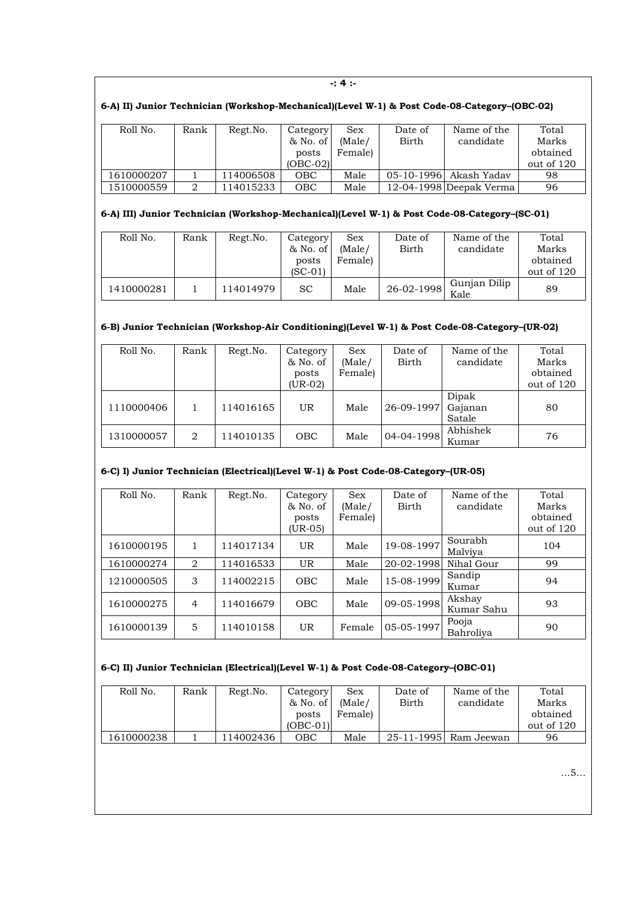| $-14:$                                                                                       |      |           |                                             |                                 |                         |                          |                                          |  |  |  |  |
|----------------------------------------------------------------------------------------------|------|-----------|---------------------------------------------|---------------------------------|-------------------------|--------------------------|------------------------------------------|--|--|--|--|
| 6-A) II) Junior Technician (Workshop-Mechanical)(Level W-1) & Post Code-08-Category-(OBC-02) |      |           |                                             |                                 |                         |                          |                                          |  |  |  |  |
| Roll No.                                                                                     | Rank | Regt.No.  | Category<br>& No. of<br>posts<br>$(OBC-02)$ | <b>Sex</b><br>(Male/<br>Female) | Date of<br><b>Birth</b> | Name of the<br>candidate | Total<br>Marks<br>obtained<br>out of 120 |  |  |  |  |
| 1610000207                                                                                   |      | 114006508 | OBC                                         | Male                            | $05 - 10 - 1996$        | Akash Yadav              | 98                                       |  |  |  |  |
| 1510000559                                                                                   | 2    | 114015233 | OBC                                         | Male                            |                         | 12-04-1998 Deepak Verma  | 96                                       |  |  |  |  |

# **6-A) III) Junior Technician (Workshop-Mechanical)(Level W-1) & Post Code-08-Category–(SC-01)**

| Roll No.   | Rank | Regt.No.  | Category<br>& No. of<br>posts<br>$(SC-01)$ | Sex<br>(Male/<br>Female) | Date of<br>Birth | Name of the<br>candidate | Total<br>Marks<br>obtained<br>out of 120 |
|------------|------|-----------|--------------------------------------------|--------------------------|------------------|--------------------------|------------------------------------------|
| 1410000281 |      | 114014979 | <b>SC</b>                                  | Male                     | 26-02-1998       | Gunjan Dilip<br>Kale     | 89                                       |

## **6-B) Junior Technician (Workshop-Air Conditioning)(Level W-1) & Post Code-08-Category–(UR-02)**

| Roll No.   | Rank | Regt.No.  | Category   | <b>Sex</b> | Date of      | Name of the | Total      |
|------------|------|-----------|------------|------------|--------------|-------------|------------|
|            |      |           | & No. of   | (Male/     | <b>Birth</b> | candidate   | Marks      |
|            |      |           | posts      | Female)    |              |             | obtained   |
|            |      |           | $(UR-02)$  |            |              |             | out of 120 |
|            |      |           |            |            |              | Dipak       |            |
| 1110000406 |      | 114016165 | UR         | Male       | 26-09-1997   | Gajanan     | 80         |
|            |      |           |            |            |              | Satale      |            |
| 1310000057 | 2    | 114010135 | <b>OBC</b> | Male       | 04-04-1998   | Abhishek    | 76         |
|            |      |           |            |            |              | Kumar       |            |

#### **6-C) I) Junior Technician (Electrical)(Level W-1) & Post Code-08-Category–(UR-05)**

| Roll No.   | Rank | Regt.No.  | Category<br>& No. of<br>posts<br>(UR-05) | <b>Sex</b><br>(Male/<br>Female) | Date of<br>Birth | Name of the<br>candidate | Total<br>Marks<br>obtained<br>out of 120 |
|------------|------|-----------|------------------------------------------|---------------------------------|------------------|--------------------------|------------------------------------------|
| 1610000195 |      | 114017134 | <b>UR</b>                                | Male                            | 19-08-1997       | Sourabh<br>Malviya       | 104                                      |
| 1610000274 | 2    | 114016533 | <b>UR</b>                                | Male                            | 20-02-1998       | Nihal Gour               | 99                                       |
| 1210000505 | 3    | 114002215 | OBC                                      | Male                            | 15-08-1999       | Sandip<br>Kumar          | 94                                       |
| 1610000275 | 4    | 114016679 | <b>OBC</b>                               | Male                            | 09-05-1998       | Akshay<br>Kumar Sahu     | 93                                       |
| 1610000139 | 5    | 114010158 | <b>UR</b>                                | Female                          | 05-05-1997       | Pooja<br>Bahroliya       | 90                                       |

#### **6-C) II) Junior Technician (Electrical)(Level W-1) & Post Code-08-Category–(OBC-01)**

| Roll No.   | Rank | Regt.No. | Category<br>& No. of | ${\rm Sex}$<br>(Male/ | Date of<br>Birth | Name of the<br>candidate | Total<br>Marks         |
|------------|------|----------|----------------------|-----------------------|------------------|--------------------------|------------------------|
|            |      |          | posts<br>$(OBC-01)$  | Female                |                  |                          | obtained<br>out of 120 |
| 1610000238 |      | 14002436 | ОВС                  | Male                  |                  | 25-11-1995  Ram Jeewan   | 96                     |

…5…